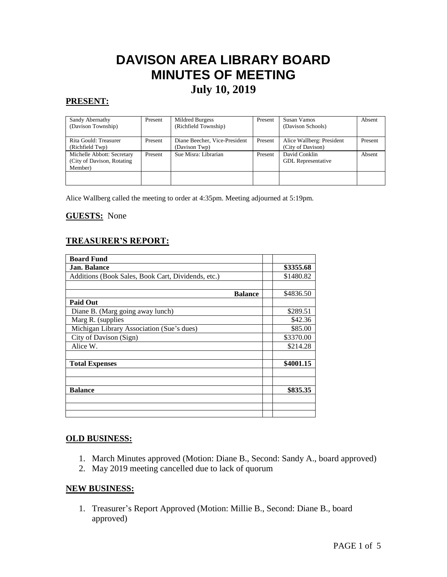# **DAVISON AREA LIBRARY BOARD MINUTES OF MEETING July 10, 2019**

# **PRESENT:**

| Sandy Abernathy             | Present | Mildred Burgess               | Present | Susan Vamos               | Absent  |
|-----------------------------|---------|-------------------------------|---------|---------------------------|---------|
| (Davison Township)          |         | (Richfield Township)          |         | (Davison Schools)         |         |
|                             |         |                               |         |                           |         |
| Rita Gould: Treasurer       | Present | Diane Beecher, Vice-President | Present | Alice Wallberg: President | Present |
| (Richfield Twp)             |         | (Davison Twp)                 |         | (City of Davison)         |         |
| Michelle Abbott: Secretary  | Present | Sue Misra: Librarian          | Present | David Conklin             | Absent  |
| (City of Davison, Rotating) |         |                               |         | <b>GDL</b> Representative |         |
| Member)                     |         |                               |         |                           |         |
|                             |         |                               |         |                           |         |
|                             |         |                               |         |                           |         |

Alice Wallberg called the meeting to order at 4:35pm. Meeting adjourned at 5:19pm.

#### **GUESTS:** None

## **TREASURER'S REPORT:**

| <b>Board Fund</b>                                  |  |           |  |
|----------------------------------------------------|--|-----------|--|
| <b>Jan. Balance</b>                                |  | \$3355.68 |  |
| Additions (Book Sales, Book Cart, Dividends, etc.) |  | \$1480.82 |  |
|                                                    |  |           |  |
| <b>Balance</b>                                     |  | \$4836.50 |  |
| <b>Paid Out</b>                                    |  |           |  |
| Diane B. (Marg going away lunch)                   |  | \$289.51  |  |
| Marg R. (supplies                                  |  | \$42.36   |  |
| Michigan Library Association (Sue's dues)          |  | \$85.00   |  |
| City of Davison (Sign)                             |  | \$3370.00 |  |
| Alice W.                                           |  | \$214.28  |  |
|                                                    |  |           |  |
| <b>Total Expenses</b>                              |  | \$4001.15 |  |
|                                                    |  |           |  |
|                                                    |  |           |  |
| <b>Balance</b>                                     |  | \$835.35  |  |
|                                                    |  |           |  |
|                                                    |  |           |  |
|                                                    |  |           |  |

## **OLD BUSINESS:**

- 1. March Minutes approved (Motion: Diane B., Second: Sandy A., board approved)
- 2. May 2019 meeting cancelled due to lack of quorum

## **NEW BUSINESS:**

1. Treasurer's Report Approved (Motion: Millie B., Second: Diane B., board approved)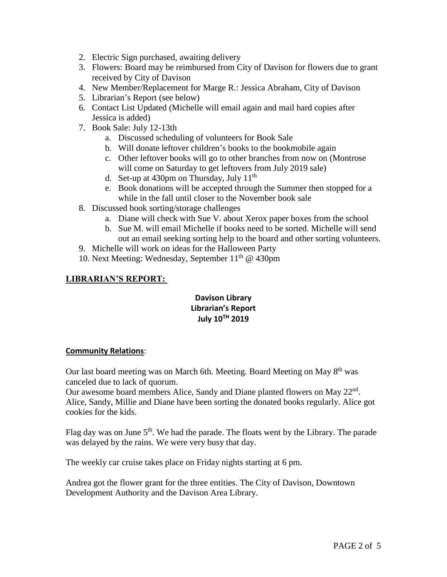- 2. Electric Sign purchased, awaiting delivery
- 3. Flowers: Board may be reimbursed from City of Davison for flowers due to grant received by City of Davison
- 4. New Member/Replacement for Marge R.: Jessica Abraham, City of Davison
- 5. Librarian's Report (see below)
- 6. Contact List Updated (Michelle will email again and mail hard copies after Jessica is added)
- 7. Book Sale: July 12-13th
	- a. Discussed scheduling of volunteers for Book Sale
	- b. Will donate leftover children's books to the bookmobile again
	- c. Other leftover books will go to other branches from now on (Montrose will come on Saturday to get leftovers from July 2019 sale)
	- d. Set-up at 430pm on Thursday, July  $11<sup>th</sup>$
	- e. Book donations will be accepted through the Summer then stopped for a while in the fall until closer to the November book sale
- 8. Discussed book sorting/storage challenges
	- a. Diane will check with Sue V. about Xerox paper boxes from the school
	- b. Sue M. will email Michelle if books need to be sorted. Michelle will send out an email seeking sorting help to the board and other sorting volunteers.
- 9. Michelle will work on ideas for the Halloween Party
- 10. Next Meeting: Wednesday, September  $11<sup>th</sup>$  @ 430pm

# **LIBRARIAN'S REPORT:**

# **Davison Library Librarian's Report July 10TH 2019**

## **Community Relations**:

Our last board meeting was on March 6th. Meeting. Board Meeting on May 8<sup>th</sup> was canceled due to lack of quorum.

Our awesome board members Alice, Sandy and Diane planted flowers on May 22<sup>nd</sup>. Alice, Sandy, Millie and Diane have been sorting the donated books regularly. Alice got cookies for the kids.

Flag day was on June  $5<sup>th</sup>$ . We had the parade. The floats went by the Library. The parade was delayed by the rains. We were very busy that day.

The weekly car cruise takes place on Friday nights starting at 6 pm.

Andrea got the flower grant for the three entities. The City of Davison, Downtown Development Authority and the Davison Area Library.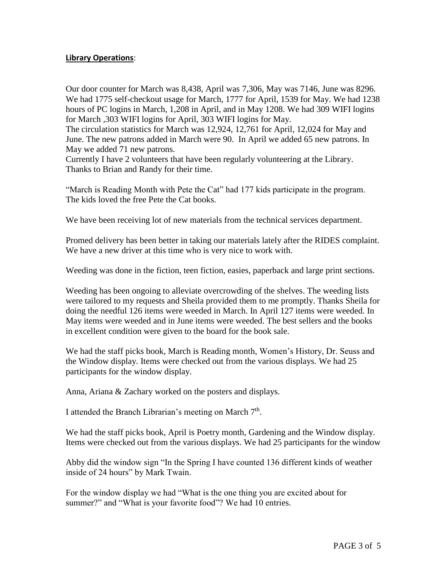## **Library Operations**:

Our door counter for March was 8,438, April was 7,306, May was 7146, June was 8296. We had 1775 self-checkout usage for March, 1777 for April, 1539 for May. We had 1238 hours of PC logins in March, 1,208 in April, and in May 1208. We had 309 WIFI logins for March ,303 WIFI logins for April, 303 WIFI logins for May. The circulation statistics for March was 12,924, 12,761 for April, 12,024 for May and

June. The new patrons added in March were 90. In April we added 65 new patrons. In May we added 71 new patrons.

Currently I have 2 volunteers that have been regularly volunteering at the Library. Thanks to Brian and Randy for their time.

"March is Reading Month with Pete the Cat" had 177 kids participate in the program. The kids loved the free Pete the Cat books.

We have been receiving lot of new materials from the technical services department.

Promed delivery has been better in taking our materials lately after the RIDES complaint. We have a new driver at this time who is very nice to work with.

Weeding was done in the fiction, teen fiction, easies, paperback and large print sections.

Weeding has been ongoing to alleviate overcrowding of the shelves. The weeding lists were tailored to my requests and Sheila provided them to me promptly. Thanks Sheila for doing the needful 126 items were weeded in March. In April 127 items were weeded. In May items were weeded and in June items were weeded. The best sellers and the books in excellent condition were given to the board for the book sale.

We had the staff picks book, March is Reading month, Women's History, Dr. Seuss and the Window display. Items were checked out from the various displays. We had 25 participants for the window display.

Anna, Ariana & Zachary worked on the posters and displays.

I attended the Branch Librarian's meeting on March 7<sup>th</sup>.

We had the staff picks book, April is Poetry month, Gardening and the Window display. Items were checked out from the various displays. We had 25 participants for the window

Abby did the window sign "In the Spring I have counted 136 different kinds of weather inside of 24 hours" by Mark Twain.

For the window display we had "What is the one thing you are excited about for summer?" and "What is your favorite food"? We had 10 entries.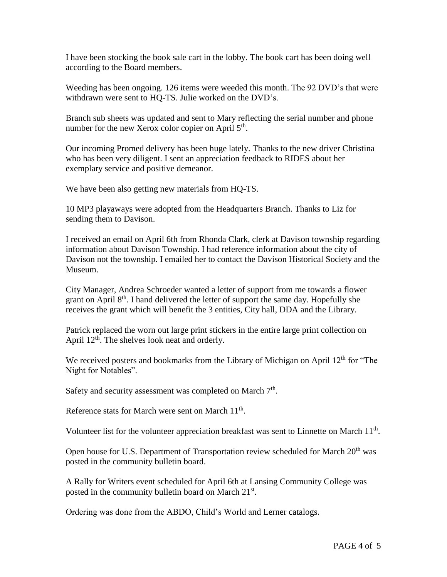I have been stocking the book sale cart in the lobby. The book cart has been doing well according to the Board members.

Weeding has been ongoing. 126 items were weeded this month. The 92 DVD's that were withdrawn were sent to HQ-TS. Julie worked on the DVD's.

Branch sub sheets was updated and sent to Mary reflecting the serial number and phone number for the new Xerox color copier on April 5<sup>th</sup>.

Our incoming Promed delivery has been huge lately. Thanks to the new driver Christina who has been very diligent. I sent an appreciation feedback to RIDES about her exemplary service and positive demeanor.

We have been also getting new materials from HQ-TS.

10 MP3 playaways were adopted from the Headquarters Branch. Thanks to Liz for sending them to Davison.

I received an email on April 6th from Rhonda Clark, clerk at Davison township regarding information about Davison Township. I had reference information about the city of Davison not the township. I emailed her to contact the Davison Historical Society and the Museum.

City Manager, Andrea Schroeder wanted a letter of support from me towards a flower grant on April  $8<sup>th</sup>$ . I hand delivered the letter of support the same day. Hopefully she receives the grant which will benefit the 3 entities, City hall, DDA and the Library.

Patrick replaced the worn out large print stickers in the entire large print collection on April  $12<sup>th</sup>$ . The shelves look neat and orderly.

We received posters and bookmarks from the Library of Michigan on April  $12<sup>th</sup>$  for "The Night for Notables".

Safety and security assessment was completed on March 7<sup>th</sup>.

Reference stats for March were sent on March 11<sup>th</sup>.

Volunteer list for the volunteer appreciation breakfast was sent to Linnette on March 11<sup>th</sup>.

Open house for U.S. Department of Transportation review scheduled for March 20<sup>th</sup> was posted in the community bulletin board.

A Rally for Writers event scheduled for April 6th at Lansing Community College was posted in the community bulletin board on March 21st.

Ordering was done from the ABDO, Child's World and Lerner catalogs.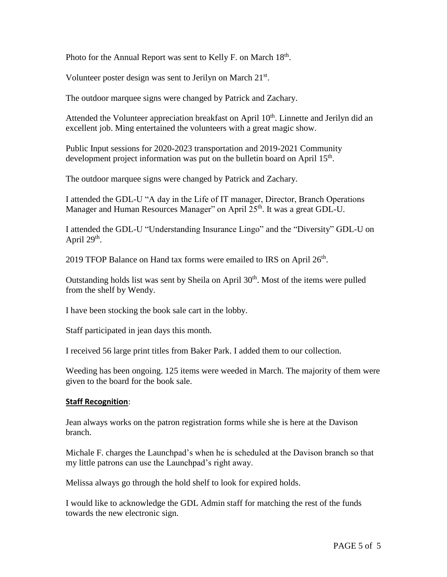Photo for the Annual Report was sent to Kelly F. on March 18<sup>th</sup>.

Volunteer poster design was sent to Jerilyn on March 21st.

The outdoor marquee signs were changed by Patrick and Zachary.

Attended the Volunteer appreciation breakfast on April  $10<sup>th</sup>$ . Linnette and Jerilyn did an excellent job. Ming entertained the volunteers with a great magic show.

Public Input sessions for 2020-2023 transportation and 2019-2021 Community development project information was put on the bulletin board on April 15<sup>th</sup>.

The outdoor marquee signs were changed by Patrick and Zachary.

I attended the GDL-U "A day in the Life of IT manager, Director, Branch Operations Manager and Human Resources Manager" on April 25<sup>th</sup>. It was a great GDL-U.

I attended the GDL-U "Understanding Insurance Lingo" and the "Diversity" GDL-U on April  $29<sup>th</sup>$ .

2019 TFOP Balance on Hand tax forms were emailed to IRS on April 26<sup>th</sup>.

Outstanding holds list was sent by Sheila on April  $30<sup>th</sup>$ . Most of the items were pulled from the shelf by Wendy.

I have been stocking the book sale cart in the lobby.

Staff participated in jean days this month.

I received 56 large print titles from Baker Park. I added them to our collection.

Weeding has been ongoing. 125 items were weeded in March. The majority of them were given to the board for the book sale.

## **Staff Recognition**:

Jean always works on the patron registration forms while she is here at the Davison branch.

Michale F. charges the Launchpad's when he is scheduled at the Davison branch so that my little patrons can use the Launchpad's right away.

Melissa always go through the hold shelf to look for expired holds.

I would like to acknowledge the GDL Admin staff for matching the rest of the funds towards the new electronic sign.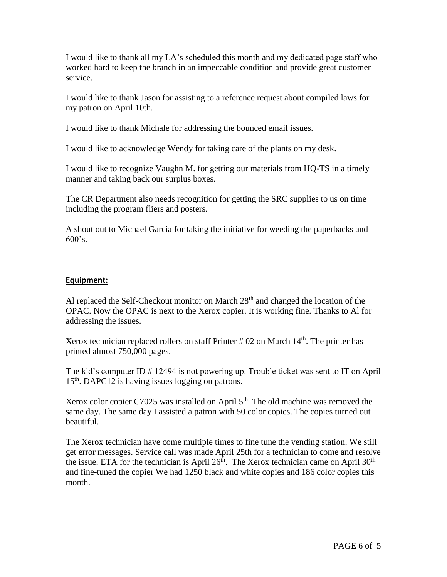I would like to thank all my LA's scheduled this month and my dedicated page staff who worked hard to keep the branch in an impeccable condition and provide great customer service.

I would like to thank Jason for assisting to a reference request about compiled laws for my patron on April 10th.

I would like to thank Michale for addressing the bounced email issues.

I would like to acknowledge Wendy for taking care of the plants on my desk.

I would like to recognize Vaughn M. for getting our materials from HQ-TS in a timely manner and taking back our surplus boxes.

The CR Department also needs recognition for getting the SRC supplies to us on time including the program fliers and posters.

A shout out to Michael Garcia for taking the initiative for weeding the paperbacks and  $600's.$ 

# **Equipment:**

Al replaced the Self-Checkout monitor on March  $28<sup>th</sup>$  and changed the location of the OPAC. Now the OPAC is next to the Xerox copier. It is working fine. Thanks to Al for addressing the issues.

Xerox technician replaced rollers on staff Printer  $#02$  on March  $14<sup>th</sup>$ . The printer has printed almost 750,000 pages.

The kid's computer ID # 12494 is not powering up. Trouble ticket was sent to IT on April 15<sup>th</sup>. DAPC12 is having issues logging on patrons.

Xerox color copier C7025 was installed on April  $5<sup>th</sup>$ . The old machine was removed the same day. The same day I assisted a patron with 50 color copies. The copies turned out beautiful.

The Xerox technician have come multiple times to fine tune the vending station. We still get error messages. Service call was made April 25th for a technician to come and resolve the issue. ETA for the technician is April  $26<sup>th</sup>$ . The Xerox technician came on April  $30<sup>th</sup>$ and fine-tuned the copier We had 1250 black and white copies and 186 color copies this month.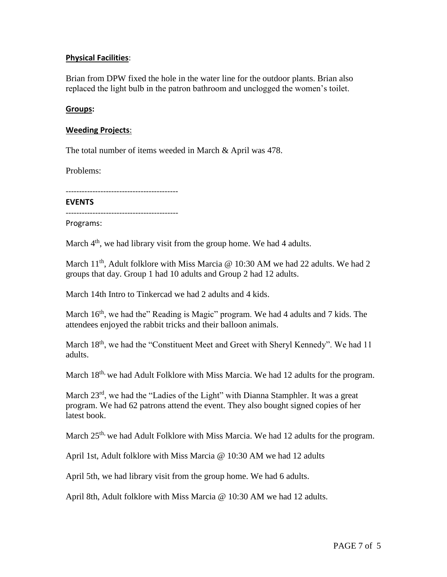## **Physical Facilities**:

Brian from DPW fixed the hole in the water line for the outdoor plants. Brian also replaced the light bulb in the patron bathroom and unclogged the women's toilet.

#### **Groups:**

#### **Weeding Projects**:

The total number of items weeded in March & April was 478.

Problems:

------------------------------------------

#### **EVENTS**

------------------------------------------

Programs:

March 4<sup>th</sup>, we had library visit from the group home. We had 4 adults.

March 11<sup>th</sup>, Adult folklore with Miss Marcia @ 10:30 AM we had 22 adults. We had 2 groups that day. Group 1 had 10 adults and Group 2 had 12 adults.

March 14th Intro to Tinkercad we had 2 adults and 4 kids.

March 16<sup>th</sup>, we had the" Reading is Magic" program. We had 4 adults and 7 kids. The attendees enjoyed the rabbit tricks and their balloon animals.

March 18<sup>th</sup>, we had the "Constituent Meet and Greet with Sheryl Kennedy". We had 11 adults.

March  $18<sup>th</sup>$ , we had Adult Folklore with Miss Marcia. We had 12 adults for the program.

March  $23<sup>rd</sup>$ , we had the "Ladies of the Light" with Dianna Stamphler. It was a great program. We had 62 patrons attend the event. They also bought signed copies of her latest book.

March 25<sup>th,</sup> we had Adult Folklore with Miss Marcia. We had 12 adults for the program.

April 1st, Adult folklore with Miss Marcia @ 10:30 AM we had 12 adults

April 5th, we had library visit from the group home. We had 6 adults.

April 8th, Adult folklore with Miss Marcia @ 10:30 AM we had 12 adults.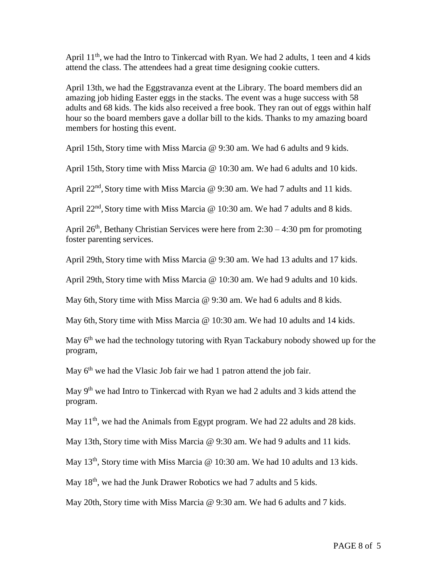April 11<sup>th</sup>, we had the Intro to Tinkercad with Ryan. We had 2 adults, 1 teen and 4 kids attend the class. The attendees had a great time designing cookie cutters.

April 13th, we had the Eggstravanza event at the Library. The board members did an amazing job hiding Easter eggs in the stacks. The event was a huge success with 58 adults and 68 kids. The kids also received a free book. They ran out of eggs within half hour so the board members gave a dollar bill to the kids. Thanks to my amazing board members for hosting this event.

April 15th, Story time with Miss Marcia @ 9:30 am. We had 6 adults and 9 kids.

April 15th, Story time with Miss Marcia @ 10:30 am. We had 6 adults and 10 kids.

April  $22<sup>nd</sup>$ , Story time with Miss Marcia @ 9:30 am. We had 7 adults and 11 kids.

April 22<sup>nd</sup>, Story time with Miss Marcia @ 10:30 am. We had 7 adults and 8 kids.

April 26<sup>th</sup>, Bethany Christian Services were here from 2:30 – 4:30 pm for promoting foster parenting services.

April 29th, Story time with Miss Marcia @ 9:30 am. We had 13 adults and 17 kids.

April 29th, Story time with Miss Marcia @ 10:30 am. We had 9 adults and 10 kids.

May 6th, Story time with Miss Marcia @ 9:30 am. We had 6 adults and 8 kids.

May 6th, Story time with Miss Marcia @ 10:30 am. We had 10 adults and 14 kids.

May 6<sup>th</sup> we had the technology tutoring with Ryan Tackabury nobody showed up for the program,

May  $6<sup>th</sup>$  we had the Vlasic Job fair we had 1 patron attend the job fair.

May 9th we had Intro to Tinkercad with Ryan we had 2 adults and 3 kids attend the program.

May 11<sup>th</sup>, we had the Animals from Egypt program. We had 22 adults and 28 kids.

May 13th, Story time with Miss Marcia @ 9:30 am. We had 9 adults and 11 kids.

May 13<sup>th</sup>, Story time with Miss Marcia @ 10:30 am. We had 10 adults and 13 kids.

May  $18<sup>th</sup>$ , we had the Junk Drawer Robotics we had 7 adults and 5 kids.

May 20th, Story time with Miss Marcia @ 9:30 am. We had 6 adults and 7 kids.